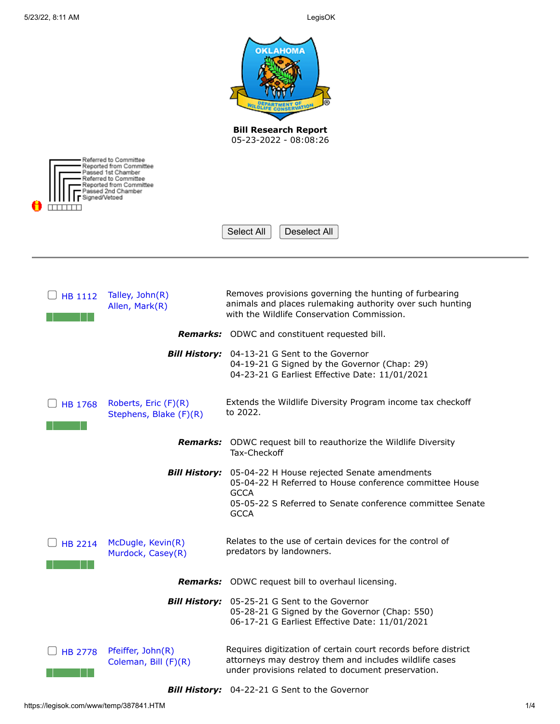|                |                                                                                                                           | <b>OKLAHOMA</b><br><b>Bill Research Report</b><br>05-23-2022 - 08:08:26                                                                                                            |
|----------------|---------------------------------------------------------------------------------------------------------------------------|------------------------------------------------------------------------------------------------------------------------------------------------------------------------------------|
|                | Referred to Committee<br>Reported from Committee<br>assed 1st Chamber<br>₹eferred to Committee<br>Reported from Committee |                                                                                                                                                                                    |
|                | issed 2nd Chamber<br>gned/Vetoed                                                                                          |                                                                                                                                                                                    |
|                |                                                                                                                           | Select All<br>Deselect All                                                                                                                                                         |
|                |                                                                                                                           |                                                                                                                                                                                    |
| HB 1112        | Talley, John(R)<br>Allen, Mark(R)                                                                                         | Removes provisions governing the hunting of furbearing<br>animals and places rulemaking authority over such hunting<br>with the Wildlife Conservation Commission.                  |
|                |                                                                                                                           | Remarks: ODWC and constituent requested bill.                                                                                                                                      |
|                | <b>Bill History:</b>                                                                                                      | 04-13-21 G Sent to the Governor<br>04-19-21 G Signed by the Governor (Chap: 29)<br>04-23-21 G Earliest Effective Date: 11/01/2021                                                  |
| <b>HB 1768</b> | Roberts, Eric (F)(R)<br>Stephens, Blake (F)(R)                                                                            | Extends the Wildlife Diversity Program income tax checkoff<br>to 2022.                                                                                                             |
|                |                                                                                                                           | <b>Remarks:</b> ODWC request bill to reauthorize the Wildlife Diversity<br>Tax-Checkoff                                                                                            |
|                | <b>Bill History:</b>                                                                                                      | 05-04-22 H House rejected Senate amendments<br>05-04-22 H Referred to House conference committee House<br><b>GCCA</b><br>05-05-22 S Referred to Senate conference committee Senate |
|                |                                                                                                                           | <b>GCCA</b>                                                                                                                                                                        |
| <b>HB 2214</b> | McDugle, Kevin(R)<br>Murdock, Casey(R)                                                                                    | Relates to the use of certain devices for the control of<br>predators by landowners.                                                                                               |
|                | <b>Remarks:</b>                                                                                                           | ODWC request bill to overhaul licensing.                                                                                                                                           |
|                |                                                                                                                           | <b>Bill History:</b> 05-25-21 G Sent to the Governor<br>05-28-21 G Signed by the Governor (Chap: 550)<br>06-17-21 G Earliest Effective Date: 11/01/2021                            |
| <b>HB 2778</b> | Pfeiffer, John(R)<br>Coleman, Bill (F)(R)                                                                                 | Requires digitization of certain court records before district<br>attorneys may destroy them and includes wildlife cases<br>under provisions related to document preservation.     |
|                |                                                                                                                           |                                                                                                                                                                                    |

*Bill History:* 04-22-21 G Sent to the Governor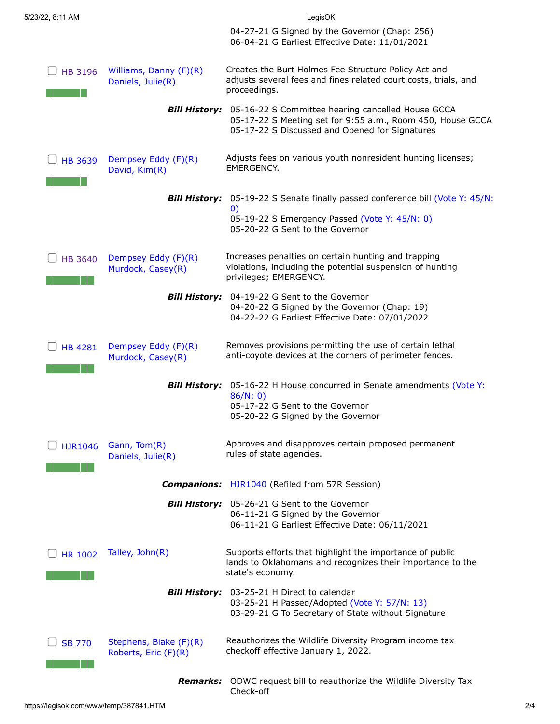|                |                                                | 04-27-21 G Signed by the Governor (Chap: 256)<br>06-04-21 G Earliest Effective Date: 11/01/2021                                                                   |
|----------------|------------------------------------------------|-------------------------------------------------------------------------------------------------------------------------------------------------------------------|
| <b>HB 3196</b> | Williams, Danny (F)(R)<br>Daniels, Julie(R)    | Creates the Burt Holmes Fee Structure Policy Act and<br>adjusts several fees and fines related court costs, trials, and<br>proceedings.                           |
|                | <b>Bill History:</b>                           | 05-16-22 S Committee hearing cancelled House GCCA<br>05-17-22 S Meeting set for 9:55 a.m., Room 450, House GCCA<br>05-17-22 S Discussed and Opened for Signatures |
| <b>HB 3639</b> | Dempsey Eddy (F)(R)<br>David, Kim(R)           | Adjusts fees on various youth nonresident hunting licenses;<br>EMERGENCY.                                                                                         |
|                |                                                | <b>Bill History:</b> 05-19-22 S Senate finally passed conference bill (Vote Y: 45/N:<br>$\left( 0\right)$                                                         |
|                |                                                | 05-19-22 S Emergency Passed (Vote Y: 45/N: 0)<br>05-20-22 G Sent to the Governor                                                                                  |
| <b>HB 3640</b> | Dempsey Eddy (F)(R)<br>Murdock, Casey(R)       | Increases penalties on certain hunting and trapping<br>violations, including the potential suspension of hunting<br>privileges; EMERGENCY.                        |
|                | <b>Bill History:</b>                           | 04-19-22 G Sent to the Governor<br>04-20-22 G Signed by the Governor (Chap: 19)<br>04-22-22 G Earliest Effective Date: 07/01/2022                                 |
| <b>HB 4281</b> | Dempsey Eddy (F)(R)<br>Murdock, Casey(R)       | Removes provisions permitting the use of certain lethal<br>anti-coyote devices at the corners of perimeter fences.                                                |
|                | <b>Bill History:</b>                           | 05-16-22 H House concurred in Senate amendments (Vote Y:<br>86/N: 0)<br>05-17-22 G Sent to the Governor<br>05-20-22 G Signed by the Governor                      |
| <b>HJR1046</b> | Gann, Tom(R)<br>Daniels, Julie(R)              | Approves and disapproves certain proposed permanent<br>rules of state agencies.                                                                                   |
|                |                                                | <b>Companions:</b> HJR1040 (Refiled from 57R Session)                                                                                                             |
|                |                                                | Bill History: 05-26-21 G Sent to the Governor<br>06-11-21 G Signed by the Governor<br>06-11-21 G Earliest Effective Date: 06/11/2021                              |
| <b>HR 1002</b> | Talley, John(R)                                | Supports efforts that highlight the importance of public<br>lands to Oklahomans and recognizes their importance to the<br>state's economy.                        |
|                |                                                | Bill History: 03-25-21 H Direct to calendar<br>03-25-21 H Passed/Adopted (Vote Y: 57/N: 13)<br>03-29-21 G To Secretary of State without Signature                 |
| <b>SB 770</b>  | Stephens, Blake (F)(R)<br>Roberts, Eric (F)(R) | Reauthorizes the Wildlife Diversity Program income tax<br>checkoff effective January 1, 2022.                                                                     |
|                | Remarks:                                       | ODWC request bill to reauthorize the Wildlife Diversity Tax<br>Check-off                                                                                          |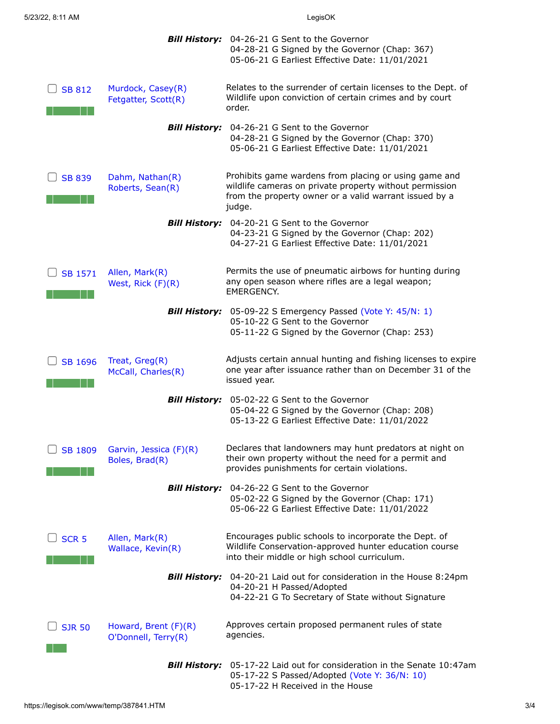|                  |                                             | <b>Bill History:</b> 04-26-21 G Sent to the Governor<br>04-28-21 G Signed by the Governor (Chap: 367)<br>05-06-21 G Earliest Effective Date: 11/01/2021                              |
|------------------|---------------------------------------------|--------------------------------------------------------------------------------------------------------------------------------------------------------------------------------------|
| <b>SB 812</b>    | Murdock, Casey(R)<br>Fetgatter, Scott(R)    | Relates to the surrender of certain licenses to the Dept. of<br>Wildlife upon conviction of certain crimes and by court<br>order.                                                    |
|                  | <b>Bill History:</b>                        | 04-26-21 G Sent to the Governor<br>04-28-21 G Signed by the Governor (Chap: 370)<br>05-06-21 G Earliest Effective Date: 11/01/2021                                                   |
| <b>SB 839</b>    | Dahm, Nathan(R)<br>Roberts, Sean(R)         | Prohibits game wardens from placing or using game and<br>wildlife cameras on private property without permission<br>from the property owner or a valid warrant issued by a<br>judge. |
|                  | <b>Bill History:</b>                        | 04-20-21 G Sent to the Governor<br>04-23-21 G Signed by the Governor (Chap: 202)<br>04-27-21 G Earliest Effective Date: 11/01/2021                                                   |
| <b>SB 1571</b>   | Allen, Mark(R)<br>West, Rick (F)(R)         | Permits the use of pneumatic airbows for hunting during<br>any open season where rifles are a legal weapon;<br><b>EMERGENCY.</b>                                                     |
|                  | <b>Bill History:</b>                        | 05-09-22 S Emergency Passed (Vote Y: 45/N: 1)<br>05-10-22 G Sent to the Governor<br>05-11-22 G Signed by the Governor (Chap: 253)                                                    |
| <b>SB 1696</b>   | Treat, Greg(R)<br>McCall, Charles(R)        | Adjusts certain annual hunting and fishing licenses to expire<br>one year after issuance rather than on December 31 of the<br>issued year.                                           |
|                  | <b>Bill History:</b>                        | 05-02-22 G Sent to the Governor<br>05-04-22 G Signed by the Governor (Chap: 208)<br>05-13-22 G Earliest Effective Date: 11/01/2022                                                   |
| <b>SB 1809</b>   | Garvin, Jessica (F)(R)<br>Boles, Brad(R)    | Declares that landowners may hunt predators at night on<br>their own property without the need for a permit and<br>provides punishments for certain violations.                      |
|                  | <b>Bill History:</b>                        | 04-26-22 G Sent to the Governor<br>05-02-22 G Signed by the Governor (Chap: 171)<br>05-06-22 G Earliest Effective Date: 11/01/2022                                                   |
| SCR <sub>5</sub> | Allen, Mark(R)<br>Wallace, Kevin(R)         | Encourages public schools to incorporate the Dept. of<br>Wildlife Conservation-approved hunter education course<br>into their middle or high school curriculum.                      |
|                  | <b>Bill History:</b>                        | 04-20-21 Laid out for consideration in the House 8:24pm<br>04-20-21 H Passed/Adopted<br>04-22-21 G To Secretary of State without Signature                                           |
| <b>SJR 50</b>    | Howard, Brent (F)(R)<br>O'Donnell, Terry(R) | Approves certain proposed permanent rules of state<br>agencies.                                                                                                                      |
|                  | <b>Bill History:</b>                        | 05-17-22 Laid out for consideration in the Senate 10:47am<br>05-17-22 S Passed/Adopted (Vote Y: 36/N: 10)<br>05-17-22 H Received in the House                                        |